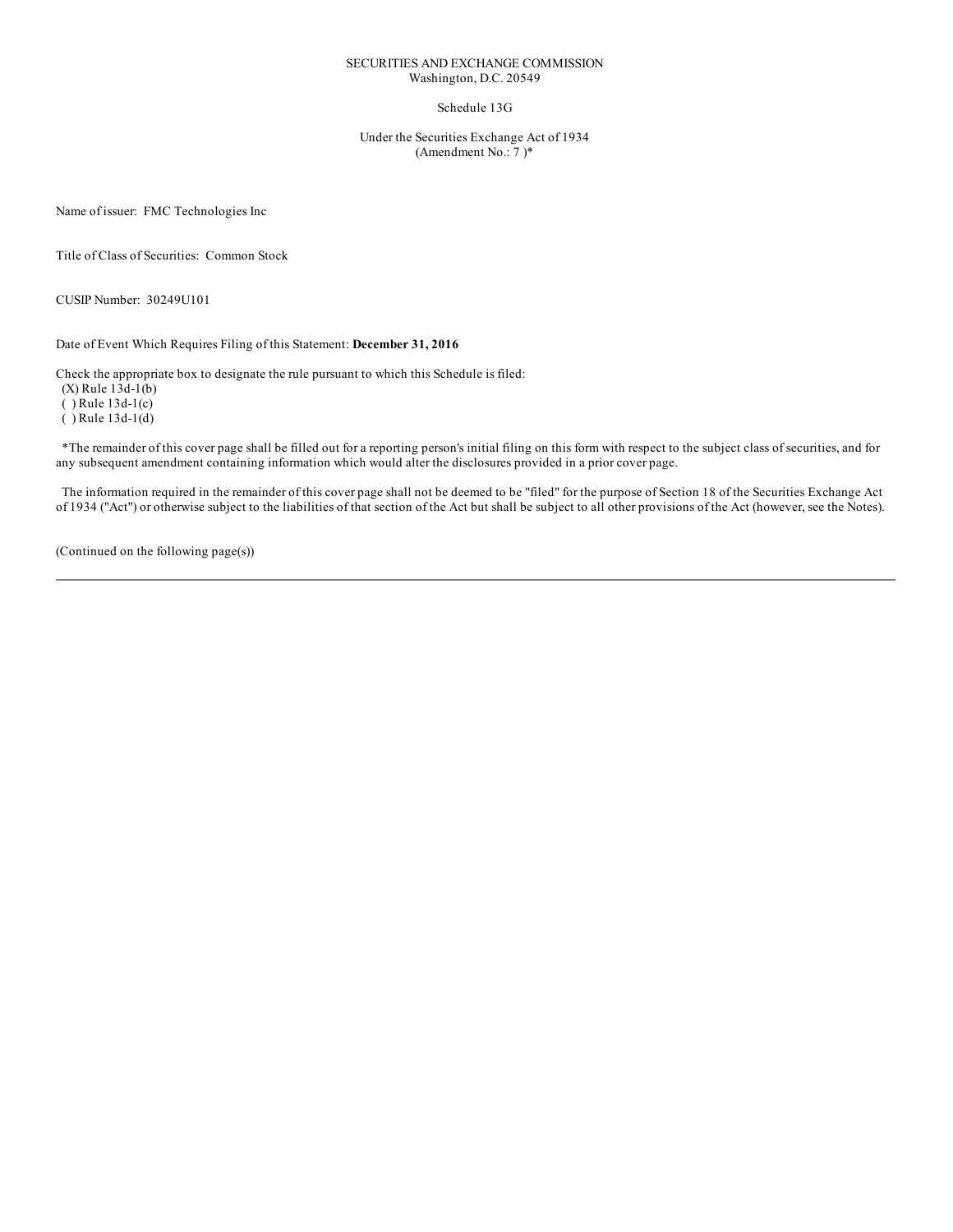## SECURITIES AND EXCHANGE COMMISSION Washington, D.C. 20549

# Schedule 13G

Under the Securities Exchange Act of 1934 (Amendment No.: 7 )\*

Name of issuer: FMC Technologies Inc

Title of Class of Securities: Common Stock

CUSIP Number: 30249U101

Date of Event Which Requires Filing of this Statement: **December 31, 2016**

Check the appropriate box to designate the rule pursuant to which this Schedule is filed: (X) Rule 13d-1(b)  $(Y)$  Rule 13d-1(c) ( ) Rule 13d-1(d)

\*The remainder of this cover page shall be filled out for a reporting person's initial filing on this form with respect to the subject class of securities, and for any subsequent amendment containing information which would alter the disclosures provided in a prior cover page.

The information required in the remainder of this cover page shall not be deemed to be "filed" for the purpose of Section 18 of the Securities Exchange Act of 1934 ("Act") or otherwise subject to the liabilities of that section of the Act but shall be subject to all other provisions of the Act (however, see the Notes).

(Continued on the following page(s))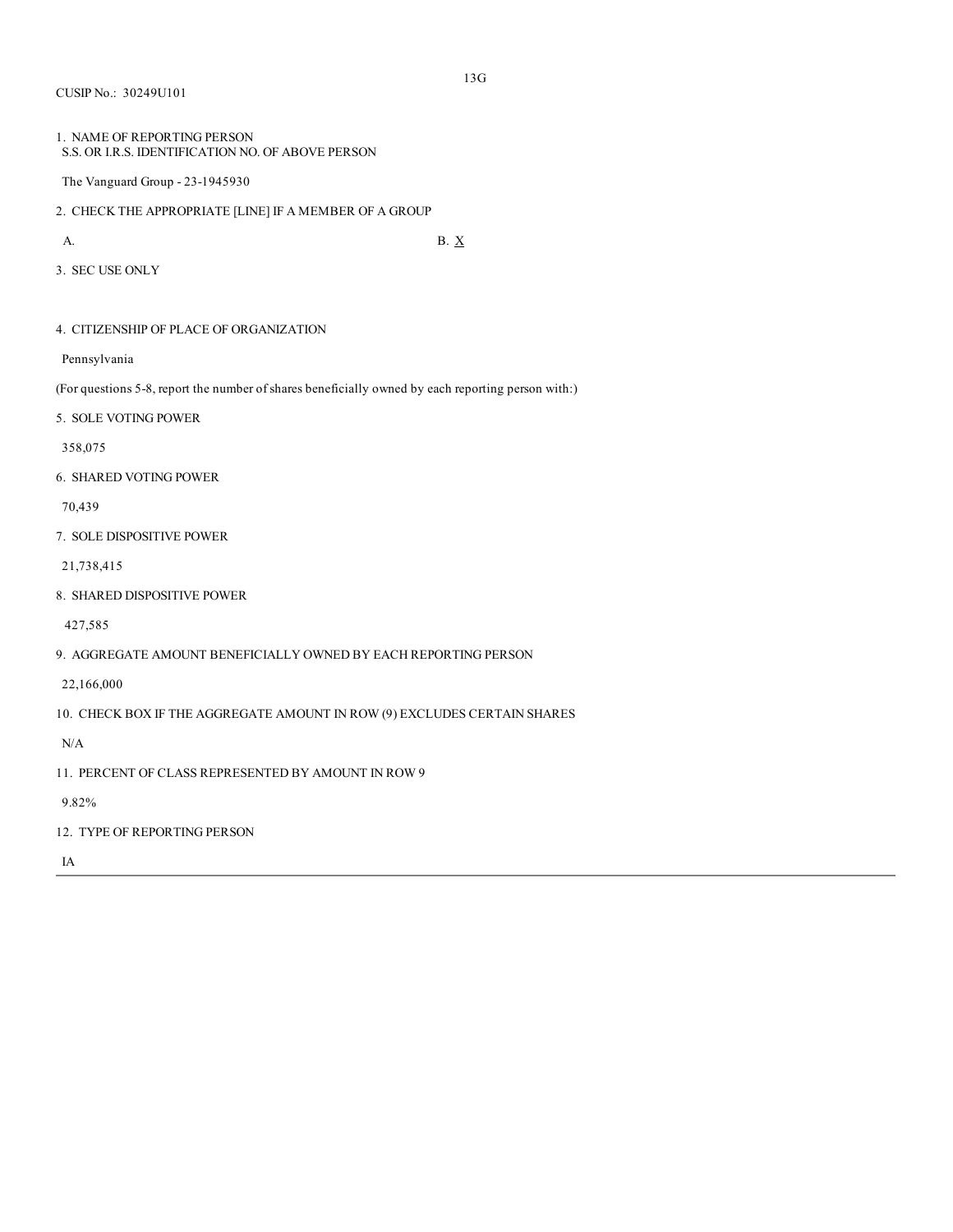CUSIP No.: 30249U101

```
1. NAME OF REPORTING PERSON
S.S. OR I.R.S. IDENTIFICATION NO. OF ABOVE PERSON
```
The Vanguard Group - 23-1945930

2. CHECK THE APPROPRIATE [LINE] IF A MEMBER OF A GROUP

A. B.  $X$ 

3. SEC USE ONLY

4. CITIZENSHIP OF PLACE OF ORGANIZATION

Pennsylvania

(For questions 5-8, report the number of shares beneficially owned by each reporting person with:)

5. SOLE VOTING POWER

358,075

6. SHARED VOTING POWER

70,439

7. SOLE DISPOSITIVE POWER

21,738,415

8. SHARED DISPOSITIVE POWER

427,585

9. AGGREGATE AMOUNT BENEFICIALLY OWNED BY EACH REPORTING PERSON

22,166,000

10. CHECK BOX IF THE AGGREGATE AMOUNT IN ROW (9) EXCLUDES CERTAIN SHARES

N/A

11. PERCENT OF CLASS REPRESENTED BY AMOUNT IN ROW 9

9.82%

12. TYPE OF REPORTING PERSON

IA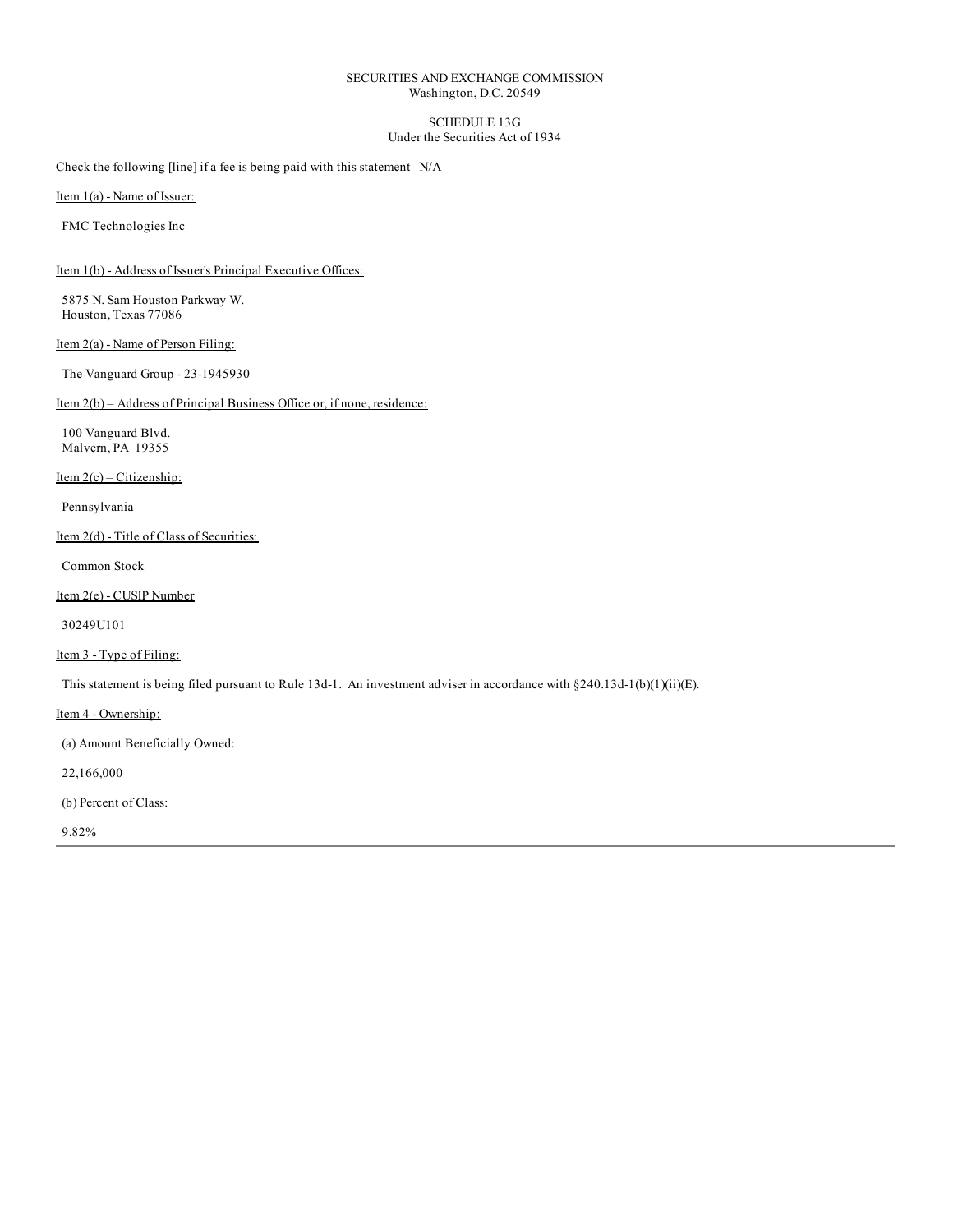# SECURITIES AND EXCHANGE COMMISSION Washington, D.C. 20549

## SCHEDULE 13G Under the Securities Act of 1934

Check the following [line] if a fee is being paid with this statement N/A

Item 1(a) - Name of Issuer:

FMC Technologies Inc

Item 1(b) - Address of Issuer's Principal Executive Offices:

5875 N. Sam Houston Parkway W. Houston, Texas 77086

Item 2(a) - Name of Person Filing:

The Vanguard Group - 23-1945930

Item 2(b) – Address of Principal Business Office or, if none, residence:

100 Vanguard Blvd. Malvern, PA 19355

Item 2(c) – Citizenship:

Pennsylvania

Item 2(d) - Title of Class of Securities:

Common Stock

Item 2(e) - CUSIP Number

30249U101

# Item 3 - Type of Filing:

This statement is being filed pursuant to Rule 13d-1. An investment adviser in accordance with §240.13d-1(b)(1)(ii)(E).

Item 4 - Ownership:

(a) Amount Beneficially Owned:

22,166,000

(b) Percent of Class:

9.82%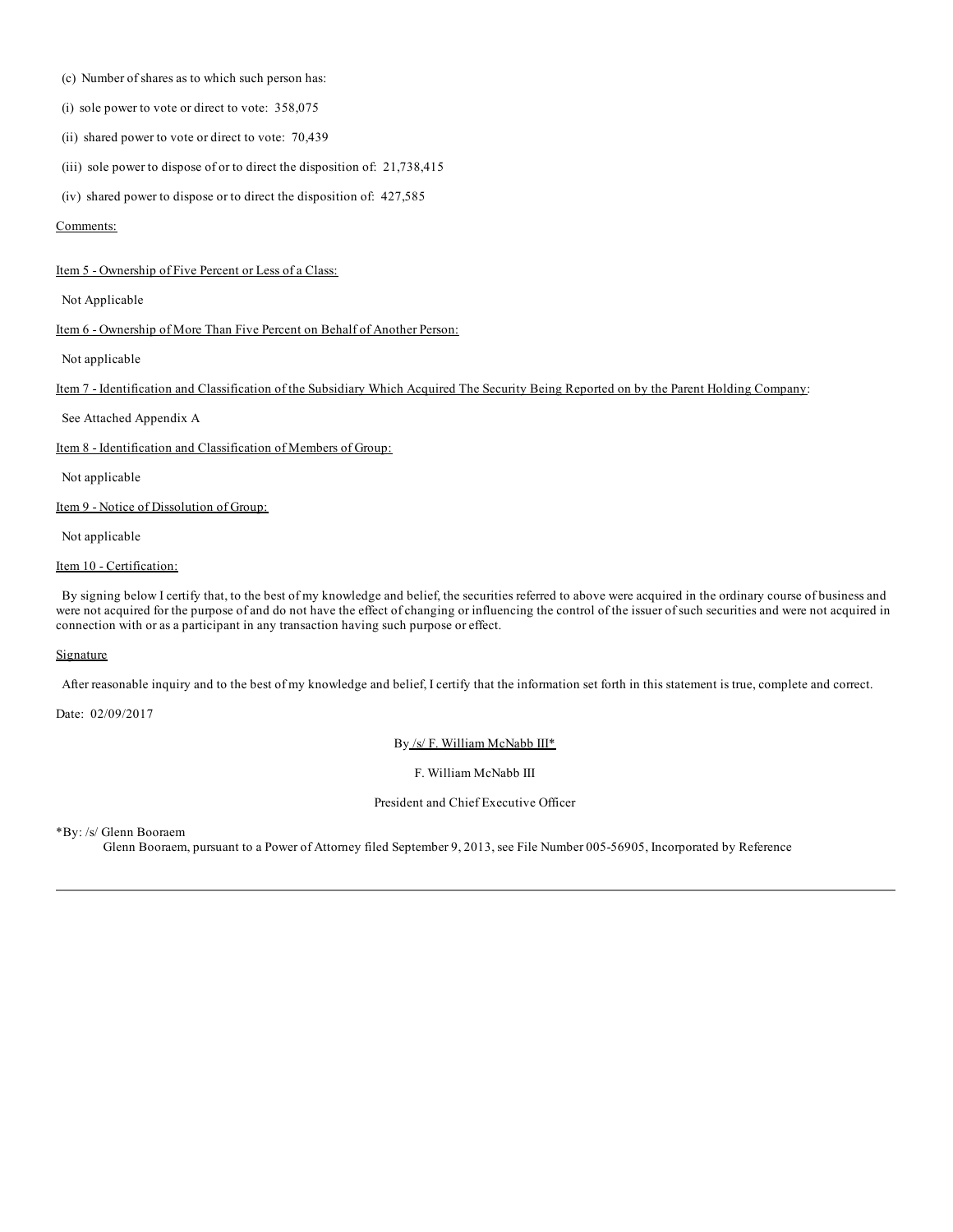- (c) Number of shares as to which such person has:
- (i) sole power to vote or direct to vote: 358,075
- (ii) shared power to vote or direct to vote: 70,439
- (iii) sole power to dispose of or to direct the disposition of: 21,738,415
- (iv) shared power to dispose or to direct the disposition of: 427,585

### Comments:

#### Item 5 - Ownership of Five Percent or Less of a Class:

Not Applicable

Item 6 - Ownership of More Than Five Percent on Behalf of Another Person:

Not applicable

Item 7 - Identification and Classification of the Subsidiary Which Acquired The Security Being Reported on by the Parent Holding Company:

See Attached Appendix A

Item 8 - Identification and Classification of Members of Group:

Not applicable

Item 9 - Notice of Dissolution of Group:

Not applicable

# Item 10 - Certification:

By signing below I certify that, to the best of my knowledge and belief, the securities referred to above were acquired in the ordinary course of business and were not acquired for the purpose of and do not have the effect of changing or influencing the control of the issuer of such securities and were not acquired in connection with or as a participant in any transaction having such purpose or effect.

## **Signature**

After reasonable inquiry and to the best of my knowledge and belief, I certify that the information set forth in this statement is true, complete and correct.

Date: 02/09/2017

By /s/ F. William McNabb III\*

F. William McNabb III

President and Chief Executive Officer

\*By: /s/ Glenn Booraem

Glenn Booraem, pursuant to a Power of Attorney filed September 9, 2013, see File Number 005-56905, Incorporated by Reference